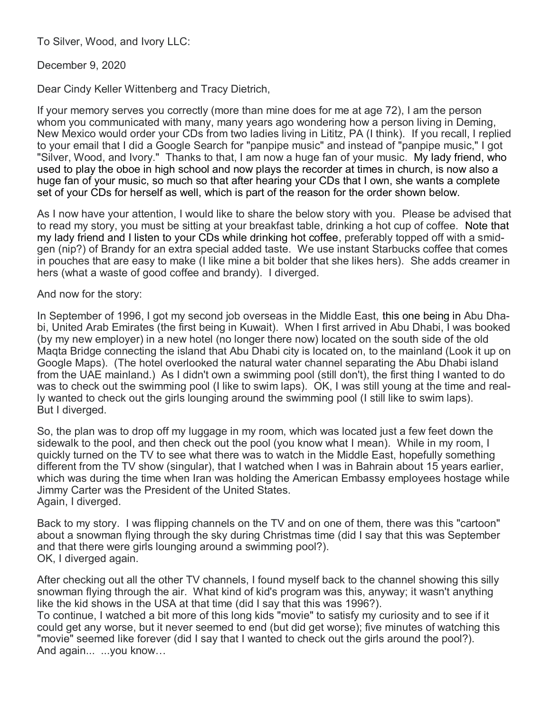To Silver, Wood, and Ivory LLC:

## December 9, 2020

Dear Cindy Keller Wittenberg and Tracy Dietrich,

If your memory serves you correctly (more than mine does for me at age 72), I am the person whom you communicated with many, many years ago wondering how a person living in Deming, New Mexico would order your CDs from two ladies living in Lititz, PA (I think). If you recall, I replied to your email that I did a Google Search for "panpipe music" and instead of "panpipe music," I got "Silver, Wood, and Ivory." Thanks to that, I am now a huge fan of your music. My lady friend, who used to play the oboe in high school and now plays the recorder at times in church, is now also a huge fan of your music, so much so that after hearing your CDs that I own, she wants a complete set of your CDs for herself as well, which is part of the reason for the order shown below.

As I now have your attention, I would like to share the below story with you. Please be advised that to read my story, you must be sitting at your breakfast table, drinking a hot cup of coffee. Note that my lady friend and I listen to your CDs while drinking hot coffee, preferably topped off with a smidgen (nip?) of Brandy for an extra special added taste. We use instant Starbucks coffee that comes in pouches that are easy to make (I like mine a bit bolder that she likes hers). She adds creamer in hers (what a waste of good coffee and brandy). I diverged.

And now for the story:

In September of 1996, I got my second job overseas in the Middle East, this one being in Abu Dhabi, United Arab Emirates (the first being in Kuwait). When I first arrived in Abu Dhabi, I was booked (by my new employer) in a new hotel (no longer there now) located on the south side of the old Maqta Bridge connecting the island that Abu Dhabi city is located on, to the mainland (Look it up on Google Maps). (The hotel overlooked the natural water channel separating the Abu Dhabi island from the UAE mainland.) As I didn't own a swimming pool (still don't), the first thing I wanted to do was to check out the swimming pool (I like to swim laps). OK, I was still young at the time and really wanted to check out the girls lounging around the swimming pool (I still like to swim laps). But I diverged.

So, the plan was to drop off my luggage in my room, which was located just a few feet down the sidewalk to the pool, and then check out the pool (you know what I mean). While in my room, I quickly turned on the TV to see what there was to watch in the Middle East, hopefully something different from the TV show (singular), that I watched when I was in Bahrain about 15 years earlier, which was during the time when Iran was holding the American Embassy employees hostage while Jimmy Carter was the President of the United States. Again, I diverged.

Back to my story. I was flipping channels on the TV and on one of them, there was this "cartoon" about a snowman flying through the sky during Christmas time (did I say that this was September and that there were girls lounging around a swimming pool?). OK, I diverged again.

After checking out all the other TV channels, I found myself back to the channel showing this silly snowman flying through the air. What kind of kid's program was this, anyway; it wasn't anything like the kid shows in the USA at that time (did I say that this was 1996?).

To continue, I watched a bit more of this long kids "movie" to satisfy my curiosity and to see if it could get any worse, but it never seemed to end (but did get worse); five minutes of watching this "movie" seemed like forever (did I say that I wanted to check out the girls around the pool?). And again... ...you know…